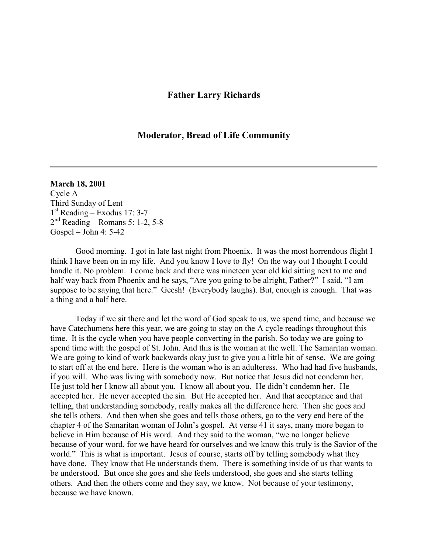## **Father Larry Richards**

## **Moderator, Bread of Life Community**

## **March 18, 2001**

Cycle A Third Sunday of Lent 1 st Reading – Exodus 17: 3-7 2 nd Reading – Romans 5: 1-2, 5-8 Gospel – John 4: 5-42

 Good morning. I got in late last night from Phoenix. It was the most horrendous flight I think I have been on in my life. And you know I love to fly! On the way out I thought I could handle it. No problem. I come back and there was nineteen year old kid sitting next to me and half way back from Phoenix and he says, "Are you going to be alright, Father?" I said, "I am suppose to be saying that here." Geesh! (Everybody laughs). But, enough is enough. That was a thing and a half here.

 Today if we sit there and let the word of God speak to us, we spend time, and because we have Catechumens here this year, we are going to stay on the A cycle readings throughout this time. It is the cycle when you have people converting in the parish. So today we are going to spend time with the gospel of St. John. And this is the woman at the well. The Samaritan woman. We are going to kind of work backwards okay just to give you a little bit of sense. We are going to start off at the end here. Here is the woman who is an adulteress. Who had had five husbands, if you will. Who was living with somebody now. But notice that Jesus did not condemn her. He just told her I know all about you. I know all about you. He didn't condemn her. He accepted her. He never accepted the sin. But He accepted her. And that acceptance and that telling, that understanding somebody, really makes all the difference here. Then she goes and she tells others. And then when she goes and tells those others, go to the very end here of the chapter 4 of the Samaritan woman of John's gospel. At verse 41 it says, many more began to believe in Him because of His word. And they said to the woman, "we no longer believe because of your word, for we have heard for ourselves and we know this truly is the Savior of the world." This is what is important. Jesus of course, starts off by telling somebody what they have done. They know that He understands them. There is something inside of us that wants to be understood. But once she goes and she feels understood, she goes and she starts telling others. And then the others come and they say, we know. Not because of your testimony, because we have known.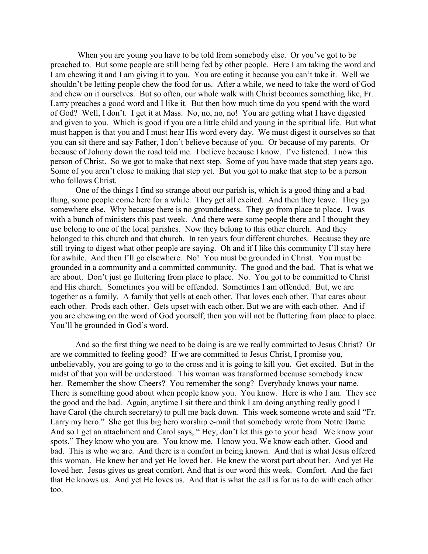When you are young you have to be told from somebody else. Or you've got to be preached to. But some people are still being fed by other people. Here I am taking the word and I am chewing it and I am giving it to you. You are eating it because you can't take it. Well we shouldn't be letting people chew the food for us. After a while, we need to take the word of God and chew on it ourselves. But so often, our whole walk with Christ becomes something like, Fr. Larry preaches a good word and I like it. But then how much time do you spend with the word of God? Well, I don't. I get it at Mass. No, no, no, no! You are getting what I have digested and given to you. Which is good if you are a little child and young in the spiritual life. But what must happen is that you and I must hear His word every day. We must digest it ourselves so that you can sit there and say Father, I don't believe because of you. Or because of my parents. Or because of Johnny down the road told me. I believe because I know. I've listened. I now this person of Christ. So we got to make that next step. Some of you have made that step years ago. Some of you aren't close to making that step yet. But you got to make that step to be a person who follows Christ.

One of the things I find so strange about our parish is, which is a good thing and a bad thing, some people come here for a while. They get all excited. And then they leave. They go somewhere else. Why because there is no groundedness. They go from place to place. I was with a bunch of ministers this past week. And there were some people there and I thought they use belong to one of the local parishes. Now they belong to this other church. And they belonged to this church and that church. In ten years four different churches. Because they are still trying to digest what other people are saying. Oh and if I like this community I'll stay here for awhile. And then I'll go elsewhere. No! You must be grounded in Christ. You must be grounded in a community and a committed community. The good and the bad. That is what we are about. Don't just go fluttering from place to place. No. You got to be committed to Christ and His church. Sometimes you will be offended. Sometimes I am offended. But, we are together as a family. A family that yells at each other. That loves each other. That cares about each other. Prods each other. Gets upset with each other. But we are with each other. And if you are chewing on the word of God yourself, then you will not be fluttering from place to place. You'll be grounded in God's word.

 And so the first thing we need to be doing is are we really committed to Jesus Christ? Or are we committed to feeling good? If we are committed to Jesus Christ, I promise you, unbelievably, you are going to go to the cross and it is going to kill you. Get excited. But in the midst of that you will be understood. This woman was transformed because somebody knew her. Remember the show Cheers? You remember the song? Everybody knows your name. There is something good about when people know you. You know. Here is who I am. They see the good and the bad. Again, anytime I sit there and think I am doing anything really good I have Carol (the church secretary) to pull me back down. This week someone wrote and said "Fr. Larry my hero." She got this big hero worship e-mail that somebody wrote from Notre Dame. And so I get an attachment and Carol says, " Hey, don't let this go to your head. We know your spots." They know who you are. You know me. I know you. We know each other. Good and bad. This is who we are. And there is a comfort in being known. And that is what Jesus offered this woman. He knew her and yet He loved her. He knew the worst part about her. And yet He loved her. Jesus gives us great comfort. And that is our word this week. Comfort. And the fact that He knows us. And yet He loves us. And that is what the call is for us to do with each other too.